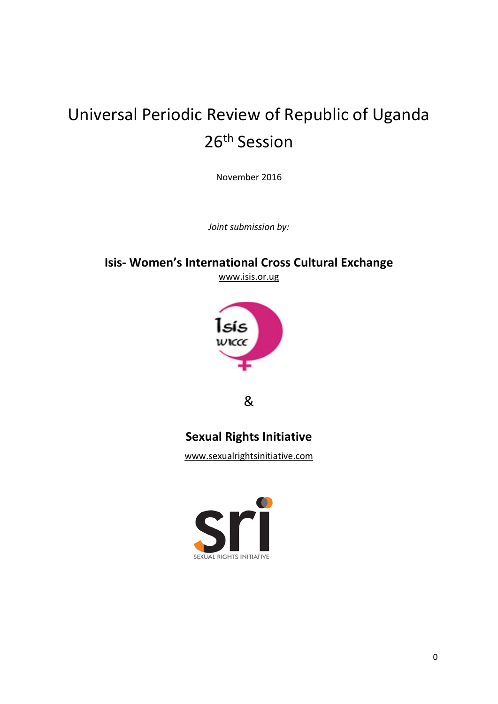# Universal Periodic Review of Republic of Uganda 26th Session

November 2016

*Joint submission by:*

### **Isis- Women's International Cross Cultural Exchange**

[www.isis.or.ug](http://www.isis.or.ug/)



&

## **Sexual Rights Initiative**

www.sexualrightsinitiative.com

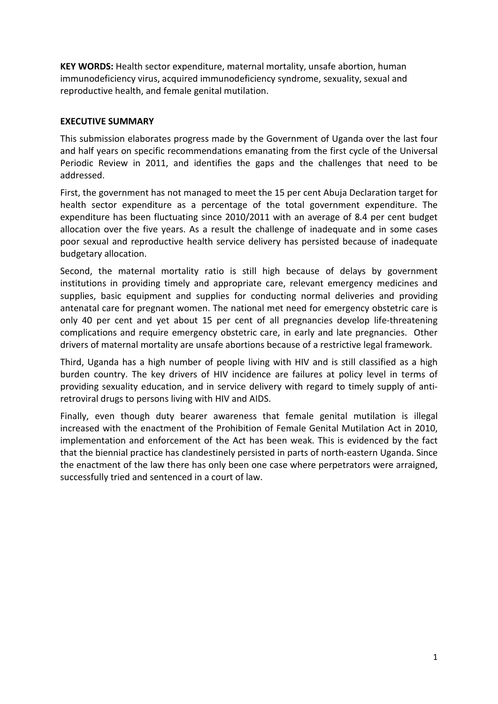**KEY WORDS:** Health sector expenditure, maternal mortality, unsafe abortion, human immunodeficiency virus, [acquired immunodeficiency syndrome,](https://en.wikipedia.org/wiki/AIDS) sexuality, sexual and reproductive health, and female genital mutilation.

#### **EXECUTIVE SUMMARY**

This submission elaborates progress made by the Government of Uganda over the last four and half years on specific recommendations emanating from the first cycle of the Universal Periodic Review in 2011, and identifies the gaps and the challenges that need to be addressed.

First, the government has not managed to meet the 15 per cent Abuja Declaration target for health sector expenditure as a percentage of the total government expenditure. The expenditure has been fluctuating since 2010/2011 with an average of 8.4 per cent budget allocation over the five years. As a result the challenge of inadequate and in some cases poor sexual and reproductive health service delivery has persisted because of inadequate budgetary allocation.

Second, the maternal mortality ratio is still high because of delays by government institutions in providing timely and appropriate care, relevant emergency medicines and supplies, basic equipment and supplies for conducting normal deliveries and providing antenatal care for pregnant women. The national met need for emergency obstetric care is only 40 per cent and yet about 15 per cent of all pregnancies develop life-threatening complications and require emergency obstetric care, in early and late pregnancies. Other drivers of maternal mortality are unsafe abortions because of a restrictive legal framework.

Third, Uganda has a high number of people living with HIV and is still classified as a high burden country. The key drivers of HIV incidence are failures at policy level in terms of providing sexuality education, and in service delivery with regard to timely supply of antiretroviral drugs to persons living with HIV and AIDS.

Finally, even though duty bearer awareness that female genital mutilation is illegal increased with the enactment of the Prohibition of Female Genital Mutilation Act in 2010, implementation and enforcement of the Act has been weak. This is evidenced by the fact that the biennial practice has clandestinely persisted in parts of north-eastern Uganda. Since the enactment of the law there has only been one case where perpetrators were arraigned, successfully tried and sentenced in a court of law.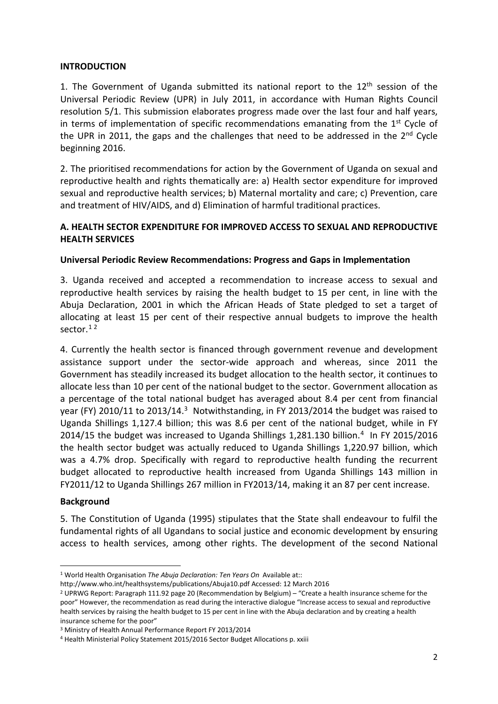#### **INTRODUCTION**

1. The Government of Uganda submitted its national report to the  $12<sup>th</sup>$  session of the Universal Periodic Review (UPR) in July 2011, in accordance with Human Rights Council resolution 5/1. This submission elaborates progress made over the last four and half years, in terms of implementation of specific recommendations emanating from the  $1<sup>st</sup>$  Cycle of the UPR in 2011, the gaps and the challenges that need to be addressed in the  $2<sup>nd</sup>$  Cycle beginning 2016.

2. The prioritised recommendations for action by the Government of Uganda on sexual and reproductive health and rights thematically are: a) Health sector expenditure for improved sexual and reproductive health services; b) Maternal mortality and care; c) Prevention, care and treatment of HIV/AIDS, and d) Elimination of harmful traditional practices.

#### **A. HEALTH SECTOR EXPENDITURE FOR IMPROVED ACCESS TO SEXUAL AND REPRODUCTIVE HEALTH SERVICES**

#### **Universal Periodic Review Recommendations: Progress and Gaps in Implementation**

3. Uganda received and accepted a recommendation to increase access to sexual and reproductive health services by raising the health budget to 15 per cent, in line with the Abuja Declaration, 2001 in which the African Heads of State pledged to set a target of allocating at least 15 per cent of their respective annual budgets to improve the health sector.<sup>[1](#page-2-0)[2](#page-2-1)</sup>

4. Currently the health sector is financed through government revenue and development assistance support under the sector-wide approach and whereas, since 2011 the Government has steadily increased its budget allocation to the health sector, it continues to allocate less than 10 per cent of the national budget to the sector. Government allocation as a percentage of the total national budget has averaged about 8.4 per cent from financial year (FY) 2010/11 to 2013/14[.3](#page-2-2) Notwithstanding, in FY 2013/2014 the budget was raised to Uganda Shillings 1,127.4 billion; this was 8.6 per cent of the national budget, while in FY 2014/15 the budget was increased to Uganda Shillings 1,281.130 billion. [4](#page-2-3) In FY 2015/2016 the health sector budget was actually reduced to Uganda Shillings 1,220.97 billion, which was a 4.7% drop. Specifically with regard to reproductive health funding the recurrent budget allocated to reproductive health increased from Uganda Shillings 143 million in FY2011/12 to Uganda Shillings 267 million in FY2013/14, making it an 87 per cent increase.

#### **Background**

5. The Constitution of Uganda (1995) stipulates that the State shall endeavour to fulfil the fundamental rights of all Ugandans to social justice and economic development by ensuring access to health services, among other rights. The development of the second National

<span id="page-2-0"></span> <sup>1</sup> World Health Organisation *The Abuja Declaration: Ten Years On* Available at::

<http://www.who.int/healthsystems/publications/Abuja10.pdf> Accessed: 12 March 2016

<span id="page-2-1"></span><sup>&</sup>lt;sup>2</sup> UPRWG Report: Paragraph 111.92 page 20 (Recommendation by Belgium) – "Create a health insurance scheme for the poor" However, the recommendation as read during the interactive dialogue "Increase access to sexual and reproductive health services by raising the health budget to 15 per cent in line with the Abuja declaration and by creating a health insurance scheme for the poor"

<span id="page-2-2"></span><sup>3</sup> Ministry of Health Annual Performance Report FY 2013/2014

<span id="page-2-3"></span><sup>4</sup> Health Ministerial Policy Statement 2015/2016 Sector Budget Allocations p. xxiii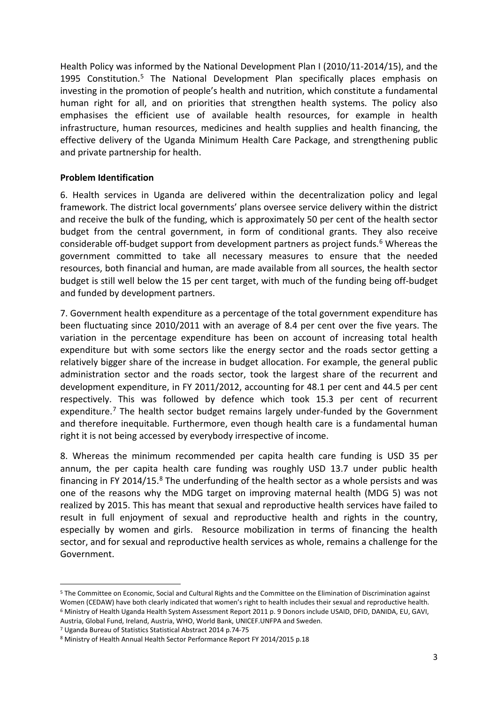Health Policy was informed by the National Development Plan I (2010/11-2014/15), and the 1995 Constitution.[5](#page-3-0) The National Development Plan specifically places emphasis on investing in the promotion of people's health and nutrition, which constitute a fundamental human right for all, and on priorities that strengthen health systems. The policy also emphasises the efficient use of available health resources, for example in health infrastructure, human resources, medicines and health supplies and health financing, the effective delivery of the Uganda Minimum Health Care Package, and strengthening public and private partnership for health.

#### **Problem Identification**

6. Health services in Uganda are delivered within the decentralization policy and legal framework. The district local governments' plans oversee service delivery within the district and receive the bulk of the funding, which is approximately 50 per cent of the health sector budget from the central government, in form of conditional grants. They also receive considerable off-budget support from development partners as project funds.<sup>[6](#page-3-1)</sup> Whereas the government committed to take all necessary measures to ensure that the needed resources, both financial and human, are made available from all sources, the health sector budget is still well below the 15 per cent target, with much of the funding being off-budget and funded by development partners.

7. Government health expenditure as a percentage of the total government expenditure has been fluctuating since 2010/2011 with an average of 8.4 per cent over the five years. The variation in the percentage expenditure has been on account of increasing total health expenditure but with some sectors like the energy sector and the roads sector getting a relatively bigger share of the increase in budget allocation. For example, the general public administration sector and the roads sector, took the largest share of the recurrent and development expenditure, in FY 2011/2012, accounting for 48.1 per cent and 44.5 per cent respectively. This was followed by defence which took 15.3 per cent of recurrent expenditure.<sup>[7](#page-3-2)</sup> The health sector budget remains largely under-funded by the Government and therefore inequitable. Furthermore, even though health care is a fundamental human right it is not being accessed by everybody irrespective of income.

8. Whereas the minimum recommended per capita health care funding is USD 35 per annum, the per capita health care funding was roughly USD 13.7 under public health financing in FY 2014/15. $8$  The underfunding of the health sector as a whole persists and was one of the reasons why the MDG target on improving maternal health (MDG 5) was not realized by 2015. This has meant that sexual and reproductive health services have failed to result in full enjoyment of sexual and reproductive health and rights in the country, especially by women and girls. Resource mobilization in terms of financing the health sector, and for sexual and reproductive health services as whole, remains a challenge for the Government.

<span id="page-3-1"></span><span id="page-3-0"></span> <sup>5</sup> The Committee on Economic, Social and Cultural Rights and the Committee on the Elimination of Discrimination against Women (CEDAW) have both clearly indicated that women's right to health includes their sexual and reproductive health. <sup>6</sup> Ministry of Health Uganda Health System Assessment Report 2011 p. 9 Donors include USAID, DFID, DANIDA, EU, GAVI, Austria, Global Fund, Ireland, Austria, WHO, World Bank, UNICEF.UNFPA and Sweden.

<span id="page-3-2"></span><sup>7</sup> Uganda Bureau of Statistics Statistical Abstract 2014 p.74-75

<span id="page-3-3"></span><sup>8</sup> Ministry of Health Annual Health Sector Performance Report FY 2014/2015 p.18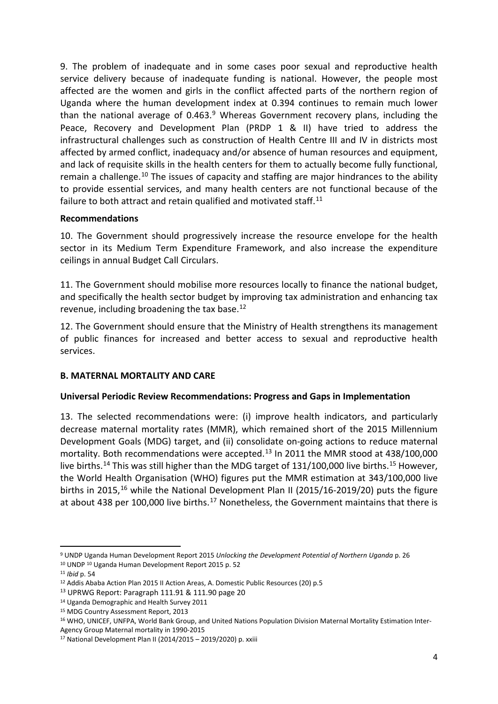9. The problem of inadequate and in some cases poor sexual and reproductive health service delivery because of inadequate funding is national. However, the people most affected are the women and girls in the conflict affected parts of the northern region of Uganda where the human development index at 0.394 continues to remain much lower than the national average of  $0.463<sup>9</sup>$  $0.463<sup>9</sup>$  $0.463<sup>9</sup>$  Whereas Government recovery plans, including the Peace, Recovery and Development Plan (PRDP 1 & II) have tried to address the infrastructural challenges such as construction of Health Centre III and IV in districts most affected by armed conflict, inadequacy and/or absence of human resources and equipment, and lack of requisite skills in the health centers for them to actually become fully functional, remain a challenge.<sup>[10](#page-4-1)</sup> The issues of capacity and staffing are major hindrances to the ability to provide essential services, and many health centers are not functional because of the failure to both attract and retain qualified and motivated staff.<sup>[11](#page-4-2)</sup>

#### **Recommendations**

10. The Government should progressively increase the resource envelope for the health sector in its Medium Term Expenditure Framework, and also increase the expenditure ceilings in annual Budget Call Circulars.

11. The Government should mobilise more resources locally to finance the national budget, and specifically the health sector budget by improving tax administration and enhancing tax revenue, including broadening the tax base.[12](#page-4-3)

12. The Government should ensure that the Ministry of Health strengthens its management of public finances for increased and better access to sexual and reproductive health services.

#### **B. MATERNAL MORTALITY AND CARE**

#### **Universal Periodic Review Recommendations: Progress and Gaps in Implementation**

13. The selected recommendations were: (i) improve health indicators, and particularly decrease maternal mortality rates (MMR), which remained short of the 2015 Millennium Development Goals (MDG) target, and (ii) consolidate on-going actions to reduce maternal mortality. Both recommendations were accepted.[13](#page-4-4) In 2011 the MMR stood at 438/100,000 live births.<sup>[14](#page-4-5)</sup> This was still higher than the MDG target of 131/100,000 live births.<sup>[15](#page-4-6)</sup> However, the World Health Organisation (WHO) figures put the MMR estimation at 343/100,000 live births in 2015,<sup>[16](#page-4-7)</sup> while the National Development Plan II (2015/16-2019/20) puts the figure at about 438 per 100,000 live births.<sup>[17](#page-4-8)</sup> Nonetheless, the Government maintains that there is

<span id="page-4-0"></span> <sup>9</sup> UNDP Uganda Human Development Report 2015 *Unlocking the Development Potential of Northern Uganda* p. 26

<span id="page-4-1"></span><sup>10</sup> UNDP 10 Uganda Human Development Report 2015 p. 52

<span id="page-4-2"></span><sup>11</sup> *Ibid* p. 54

<span id="page-4-3"></span><sup>12</sup> Addis Ababa Action Plan 2015 II Action Areas, A. Domestic Public Resources (20) p.5

<span id="page-4-4"></span><sup>13</sup> UPRWG Report: Paragraph 111.91 & 111.90 page 20

<span id="page-4-5"></span><sup>14</sup> Uganda Demographic and Health Survey 2011

<span id="page-4-6"></span><sup>15</sup> MDG Country Assessment Report, 2013

<span id="page-4-7"></span><sup>&</sup>lt;sup>16</sup> WHO, UNICEF, UNFPA, World Bank Group, and United Nations Population Division Maternal Mortality Estimation Inter-Agency Group Maternal mortality in 1990-2015

<span id="page-4-8"></span><sup>17</sup> National Development Plan II (2014/2015 – 2019/2020) p. xxiii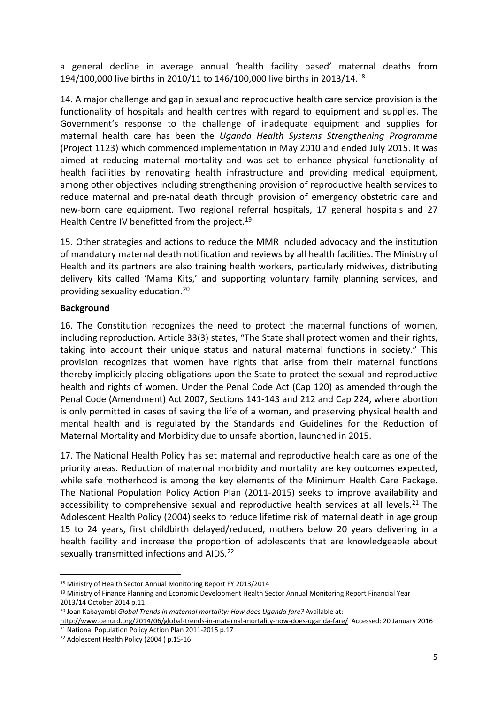a general decline in average annual 'health facility based' maternal deaths from 194/100,000 live births in 2010/11 to 146/100,000 live births in 2013/14[.18](#page-5-0)

14. A major challenge and gap in sexual and reproductive health care service provision is the functionality of hospitals and health centres with regard to equipment and supplies. The Government's response to the challenge of inadequate equipment and supplies for maternal health care has been the *Uganda Health Systems Strengthening Programme*  (Project 1123) which commenced implementation in May 2010 and ended July 2015. It was aimed at reducing maternal mortality and was set to enhance physical functionality of health facilities by renovating health infrastructure and providing medical equipment, among other objectives including strengthening provision of reproductive health services to reduce maternal and pre-natal death through provision of emergency obstetric care and new-born care equipment. Two regional referral hospitals, 17 general hospitals and 27 Health Centre IV benefitted from the project.<sup>[19](#page-5-1)</sup>

15. Other strategies and actions to reduce the MMR included advocacy and the institution of mandatory maternal death notification and reviews by all health facilities. The Ministry of Health and its partners are also training health workers, particularly midwives, distributing delivery kits called 'Mama Kits,' and supporting voluntary family planning services, and providing sexuality education.[20](#page-5-2)

#### **Background**

16. The Constitution recognizes the need to protect the maternal functions of women, including reproduction. Article 33(3) states, "The State shall protect women and their rights, taking into account their unique status and natural maternal functions in society." This provision recognizes that women have rights that arise from their maternal functions thereby implicitly placing obligations upon the State to protect the sexual and reproductive health and rights of women. Under the Penal Code Act (Cap 120) as amended through the Penal Code (Amendment) Act 2007, Sections 141-143 and 212 and Cap 224, where abortion is only permitted in cases of saving the life of a woman, and preserving physical health and mental health and is regulated by the Standards and Guidelines for the Reduction of Maternal Mortality and Morbidity due to unsafe abortion, launched in 2015.

17. The National Health Policy has set maternal and reproductive health care as one of the priority areas. Reduction of maternal morbidity and mortality are key outcomes expected, while safe motherhood is among the key elements of the Minimum Health Care Package. The National Population Policy Action Plan (2011-2015) seeks to improve availability and accessibility to comprehensive sexual and reproductive health services at all levels.<sup>[21](#page-5-3)</sup> The Adolescent Health Policy (2004) seeks to reduce lifetime risk of maternal death in age group 15 to 24 years, first childbirth delayed/reduced, mothers below 20 years delivering in a health facility and increase the proportion of adolescents that are knowledgeable about sexually transmitted infections and AIDS.<sup>[22](#page-5-4)</sup>

<span id="page-5-0"></span> <sup>18</sup> Ministry of Health Sector Annual Monitoring Report FY 2013/2014

<span id="page-5-1"></span><sup>19</sup> Ministry of Finance Planning and Economic Development Health Sector Annual Monitoring Report Financial Year 2013/14 October 2014 p.11

<span id="page-5-2"></span><sup>20</sup> Joan Kabayambi *Global Trends in maternal mortality: How does Uganda fare?* Available at:

<http://www.cehurd.org/2014/06/global-trends-in-maternal-mortality-how-does-uganda-fare/>Accessed: 20 January 2016 <sup>21</sup> National Population Policy Action Plan 2011-2015 p.17

<span id="page-5-4"></span><span id="page-5-3"></span><sup>22</sup> Adolescent Health Policy (2004 ) p.15-16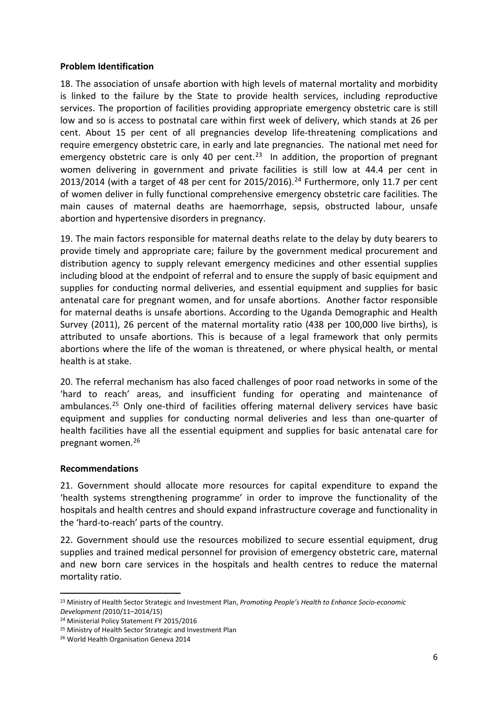#### **Problem Identification**

18. The association of unsafe abortion with high levels of maternal mortality and morbidity is linked to the failure by the State to provide health services, including reproductive services. The proportion of facilities providing appropriate emergency obstetric care is still low and so is access to postnatal care within first week of delivery, which stands at 26 per cent. About 15 per cent of all pregnancies develop life-threatening complications and require emergency obstetric care, in early and late pregnancies. The national met need for emergency obstetric care is only 40 per cent.<sup>23</sup> In addition, the proportion of pregnant women delivering in government and private facilities is still low at 44.4 per cent in 2013/2014 (with a target of 48 per cent for 2015/2016). [24](#page-6-1) Furthermore, only 11.7 per cent of women deliver in fully functional comprehensive emergency obstetric care facilities. The main causes of maternal deaths are haemorrhage, sepsis, obstructed labour, unsafe abortion and hypertensive disorders in pregnancy.

19. The main factors responsible for maternal deaths relate to the delay by duty bearers to provide timely and appropriate care; failure by the government medical procurement and distribution agency to supply relevant emergency medicines and other essential supplies including blood at the endpoint of referral and to ensure the supply of basic equipment and supplies for conducting normal deliveries, and essential equipment and supplies for basic antenatal care for pregnant women, and for unsafe abortions. Another factor responsible for maternal deaths is unsafe abortions. According to the Uganda Demographic and Health Survey (2011), 26 percent of the maternal mortality ratio (438 per 100,000 live births), is attributed to unsafe abortions. This is because of a legal framework that only permits abortions where the life of the woman is threatened, or where physical health, or mental health is at stake.

20. The referral mechanism has also faced challenges of poor road networks in some of the 'hard to reach' areas, and insufficient funding for operating and maintenance of ambulances.<sup>[25](#page-6-2)</sup> Only one-third of facilities offering maternal delivery services have basic equipment and supplies for conducting normal deliveries and less than one-quarter of health facilities have all the essential equipment and supplies for basic antenatal care for pregnant women. [26](#page-6-3)

#### **Recommendations**

21. Government should allocate more resources for capital expenditure to expand the 'health systems strengthening programme' in order to improve the functionality of the hospitals and health centres and should expand infrastructure coverage and functionality in the 'hard-to-reach' parts of the country.

22. Government should use the resources mobilized to secure essential equipment, drug supplies and trained medical personnel for provision of emergency obstetric care, maternal and new born care services in the hospitals and health centres to reduce the maternal mortality ratio.

<span id="page-6-0"></span> <sup>23</sup> Ministry of Health Sector Strategic and Investment Plan, *Promoting People's Health to Enhance Socio-economic Development (*2010/11–2014/15)

<span id="page-6-1"></span><sup>24</sup> Ministerial Policy Statement FY 2015/2016

<span id="page-6-2"></span><sup>25</sup> Ministry of Health Sector Strategic and Investment Plan

<span id="page-6-3"></span><sup>26</sup> World Health Organisation Geneva 2014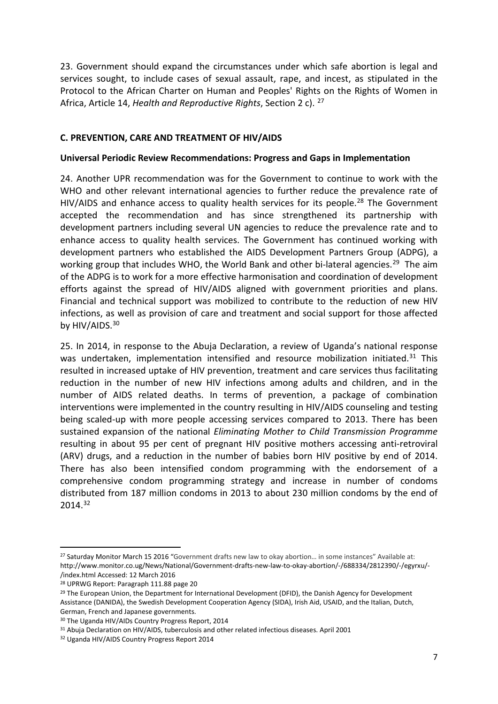23. Government should expand the circumstances under which safe abortion is legal and services sought, to include cases of sexual assault, rape, and incest, as stipulated in the Protocol to the African Charter on Human and Peoples' Rights on the Rights of Women in Africa, Article 14, *Health and Reproductive Rights*, Section 2 c). [27](#page-7-0)

#### **C. PREVENTION, CARE AND TREATMENT OF HIV/AIDS**

#### **Universal Periodic Review Recommendations: Progress and Gaps in Implementation**

24. Another UPR recommendation was for the Government to continue to work with the WHO and other relevant international agencies to further reduce the prevalence rate of HIV/AIDS and enhance access to quality health services for its people.<sup>[28](#page-7-1)</sup> The Government accepted the recommendation and has since strengthened its partnership with development partners including several UN agencies to reduce the prevalence rate and to enhance access to quality health services. The Government has continued working with development partners who established the AIDS Development Partners Group (ADPG), a working group that includes WHO, the World Bank and other bi-lateral agencies.<sup>29</sup> The aim of the ADPG is to work for a more effective harmonisation and coordination of development efforts against the spread of HIV/AIDS aligned with government priorities and plans. Financial and technical support was mobilized to contribute to the reduction of new HIV infections, as well as provision of care and treatment and social support for those affected by HIV/AIDS.<sup>[30](#page-7-3)</sup>

25. In 2014, in response to the Abuja Declaration, a review of Uganda's national response was undertaken, implementation intensified and resource mobilization initiated.<sup>31</sup> This resulted in increased uptake of HIV prevention, treatment and care services thus facilitating reduction in the number of new HIV infections among adults and children, and in the number of AIDS related deaths. In terms of prevention, a package of combination interventions were implemented in the country resulting in HIV/AIDS counseling and testing being scaled-up with more people accessing services compared to 2013. There has been sustained expansion of the national *Eliminating Mother to Child Transmission Programme* resulting in about 95 per cent of pregnant HIV positive mothers accessing anti-retroviral (ARV) drugs, and a reduction in the number of babies born HIV positive by end of 2014. There has also been intensified condom programming with the endorsement of a comprehensive condom programming strategy and increase in number of condoms distributed from 187 million condoms in 2013 to about 230 million condoms by the end of 2014.[32](#page-7-5)

<span id="page-7-0"></span><sup>&</sup>lt;sup>27</sup> Saturday Monitor March 15 2016 "Government drafts new law to okay abortion... in some instances" Available at: [http://www.monitor.co.ug/News/National/Government-drafts-new-law-to-okay-abortion/-/688334/2812390/-/egyrxu/-](http://www.monitor.co.ug/News/National/Government-drafts-new-law-to-okay-abortion/-/688334/2812390/-/egyrxu/-/index.html) [/index.html](http://www.monitor.co.ug/News/National/Government-drafts-new-law-to-okay-abortion/-/688334/2812390/-/egyrxu/-/index.html) Accessed: 12 March 2016

<span id="page-7-1"></span><sup>28</sup> UPRWG Report: Paragraph 111.88 page 20

<span id="page-7-2"></span><sup>&</sup>lt;sup>29</sup> The European Union, the Department for International Development (DFID), the Danish Agency for Development Assistance (DANIDA), the Swedish Development Cooperation Agency (SIDA), Irish Aid, USAID, and the Italian, Dutch, German, French and Japanese governments.

<span id="page-7-3"></span><sup>&</sup>lt;sup>30</sup> The Uganda HIV/AIDs Country Progress Report, 2014

<span id="page-7-4"></span><sup>31</sup> Abuja Declaration on HIV/AIDS, tuberculosis and other related infectious diseases. April 2001

<span id="page-7-5"></span><sup>32</sup> Uganda HIV/AIDS Country Progress Report 2014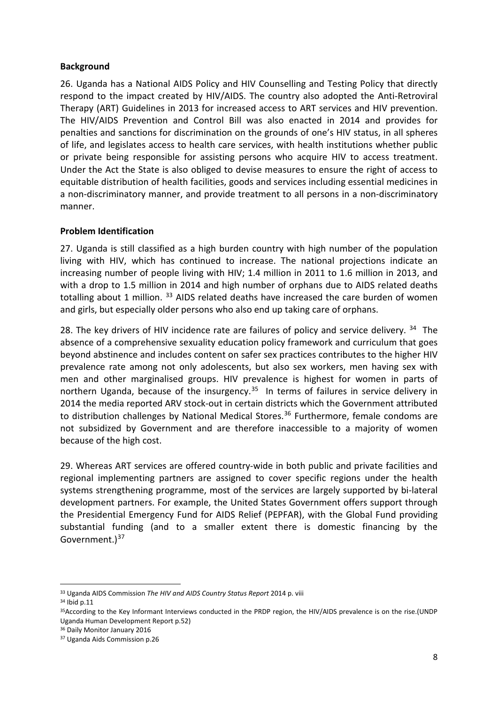#### **Background**

26. Uganda has a National AIDS Policy and HIV Counselling and Testing Policy that directly respond to the impact created by HIV/AIDS. The country also adopted the Anti-Retroviral Therapy (ART) Guidelines in 2013 for increased access to ART services and HIV prevention. The HIV/AIDS Prevention and Control Bill was also enacted in 2014 and provides for penalties and sanctions for discrimination on the grounds of one's HIV status, in all spheres of life, and legislates access to health care services, with health institutions whether public or private being responsible for assisting persons who acquire HIV to access treatment. Under the Act the State is also obliged to devise measures to ensure the right of access to equitable distribution of health facilities, goods and services including essential medicines in a non-discriminatory manner, and provide treatment to all persons in a non-discriminatory manner.

#### **Problem Identification**

27. Uganda is still classified as a high burden country with high number of the population living with HIV, which has continued to increase. The national projections indicate an increasing number of people living with HIV; 1.4 million in 2011 to 1.6 million in 2013, and with a drop to 1.5 million in 2014 and high number of orphans due to AIDS related deaths totalling about 1 million. [33](#page-8-0) AIDS related deaths have increased the care burden of women and girls, but especially older persons who also end up taking care of orphans.

28. The key drivers of HIV incidence rate are failures of policy and service delivery.  $34$  The absence of a comprehensive sexuality education policy framework and curriculum that goes beyond abstinence and includes content on safer sex practices contributes to the higher HIV prevalence rate among not only adolescents, but also sex workers, men having sex with men and other marginalised groups. HIV prevalence is highest for women in parts of northern Uganda, because of the insurgency.<sup>35</sup> In terms of failures in service delivery in 2014 the media reported ARV stock-out in certain districts which the Government attributed to distribution challenges by National Medical Stores.<sup>[36](#page-8-3)</sup> Furthermore, female condoms are not subsidized by Government and are therefore inaccessible to a majority of women because of the high cost.

29. Whereas ART services are offered country-wide in both public and private facilities and regional implementing partners are assigned to cover specific regions under the health systems strengthening programme, most of the services are largely supported by bi-lateral development partners. For example, the United States Government offers support through the Presidential Emergency Fund for AIDS Relief (PEPFAR), with the Global Fund providing substantial funding (and to a smaller extent there is domestic financing by the Government.<sup>[37](#page-8-4)</sup>

<span id="page-8-0"></span> <sup>33</sup> Uganda AIDS Commission *The HIV and AIDS Country Status Report* 2014 p. viii

<span id="page-8-1"></span><sup>34</sup> Ibid p.11

<span id="page-8-2"></span><sup>35</sup>According to the Key Informant Interviews conducted in the PRDP region, the HIV/AIDS prevalence is on the rise.(UNDP Uganda Human Development Report p.52)

<span id="page-8-3"></span><sup>36</sup> Daily Monitor January 2016

<span id="page-8-4"></span><sup>37</sup> Uganda Aids Commission p.26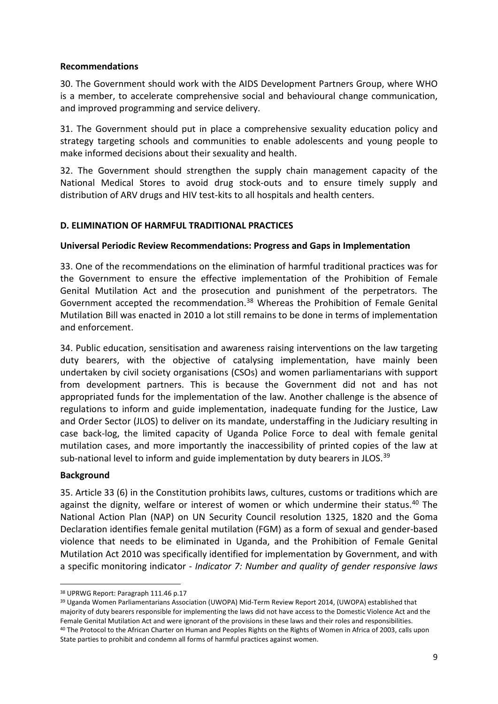#### **Recommendations**

30. The Government should work with the AIDS Development Partners Group, where WHO is a member, to accelerate comprehensive social and behavioural change communication, and improved programming and service delivery.

31. The Government should put in place a comprehensive sexuality education policy and strategy targeting schools and communities to enable adolescents and young people to make informed decisions about their sexuality and health.

32. The Government should strengthen the supply chain management capacity of the National Medical Stores to avoid drug stock-outs and to ensure timely supply and distribution of ARV drugs and HIV test-kits to all hospitals and health centers.

#### **D. ELIMINATION OF HARMFUL TRADITIONAL PRACTICES**

#### **Universal Periodic Review Recommendations: Progress and Gaps in Implementation**

33. One of the recommendations on the elimination of harmful traditional practices was for the Government to ensure the effective implementation of the Prohibition of Female Genital Mutilation Act and the prosecution and punishment of the perpetrators. The Government accepted the recommendation.<sup>[38](#page-9-0)</sup> Whereas the Prohibition of Female Genital Mutilation Bill was enacted in 2010 a lot still remains to be done in terms of implementation and enforcement.

34. Public education, sensitisation and awareness raising interventions on the law targeting duty bearers, with the objective of catalysing implementation, have mainly been undertaken by civil society organisations (CSOs) and women parliamentarians with support from development partners. This is because the Government did not and has not appropriated funds for the implementation of the law. Another challenge is the absence of regulations to inform and guide implementation, inadequate funding for the Justice, Law and Order Sector (JLOS) to deliver on its mandate, understaffing in the Judiciary resulting in case back-log, the limited capacity of Uganda Police Force to deal with female genital mutilation cases, and more importantly the inaccessibility of printed copies of the law at sub-national level to inform and guide implementation by duty bearers in JLOS.<sup>[39](#page-9-1)</sup>

#### **Background**

35. Article 33 (6) in the Constitution prohibits laws, cultures, customs or traditions which are against the dignity, welfare or interest of women or which undermine their status.<sup>[40](#page-9-2)</sup> The National Action Plan (NAP) on UN Security Council resolution 1325, 1820 and the Goma Declaration identifies female genital mutilation (FGM) as a form of sexual and gender-based violence that needs to be eliminated in Uganda, and the Prohibition of Female Genital Mutilation Act 2010 was specifically identified for implementation by Government, and with a specific monitoring indicator - *Indicator 7: Number and quality of gender responsive laws* 

<span id="page-9-0"></span> <sup>38</sup> UPRWG Report: Paragraph 111.46 p.17

<span id="page-9-2"></span><span id="page-9-1"></span><sup>39</sup> Uganda Women Parliamentarians Association (UWOPA) Mid-Term Review Report 2014, (UWOPA) established that majority of duty bearers responsible for implementing the laws did not have access to the Domestic Violence Act and the Female Genital Mutilation Act and were ignorant of the provisions in these laws and their roles and responsibilities.<br><sup>40</sup> The Protocol to the African Charter on Human and Peoples Rights on the Rights of Women in Africa of State parties to prohibit and condemn all forms of harmful practices against women.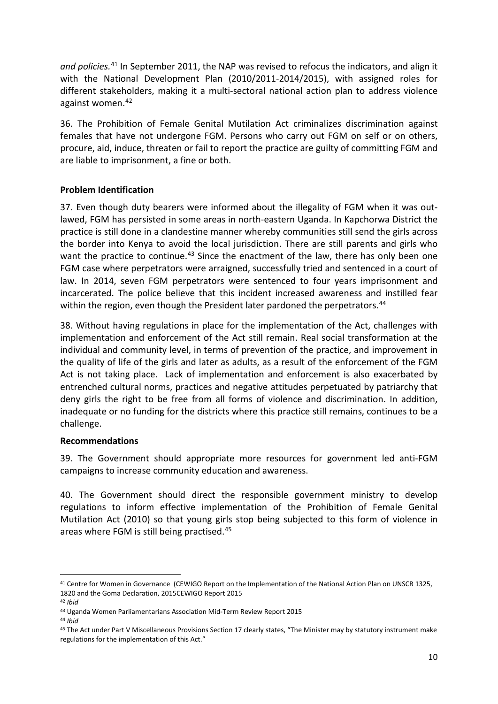*and policies.*[41](#page-10-0) In September 2011, the NAP was revised to refocus the indicators, and align it with the National Development Plan (2010/2011-2014/2015), with assigned roles for different stakeholders, making it a multi-sectoral national action plan to address violence against women.<sup>[42](#page-10-1)</sup>

36. The Prohibition of Female Genital Mutilation Act criminalizes discrimination against females that have not undergone FGM. Persons who carry out FGM on self or on others, procure, aid, induce, threaten or fail to report the practice are guilty of committing FGM and are liable to imprisonment, a fine or both.

#### **Problem Identification**

37. Even though duty bearers were informed about the illegality of FGM when it was outlawed, FGM has persisted in some areas in north-eastern Uganda. In Kapchorwa District the practice is still done in a clandestine manner whereby communities still send the girls across the border into Kenya to avoid the local jurisdiction. There are still parents and girls who want the practice to continue.<sup>43</sup> Since the enactment of the law, there has only been one FGM case where perpetrators were arraigned, successfully tried and sentenced in a court of law. In 2014, seven FGM perpetrators were sentenced to four years imprisonment and incarcerated. The police believe that this incident increased awareness and instilled fear within the region, even though the President later pardoned the perpetrators.<sup>44</sup>

38. Without having regulations in place for the implementation of the Act, challenges with implementation and enforcement of the Act still remain. Real social transformation at the individual and community level, in terms of prevention of the practice, and improvement in the quality of life of the girls and later as adults, as a result of the enforcement of the FGM Act is not taking place. Lack of implementation and enforcement is also exacerbated by entrenched cultural norms, practices and negative attitudes perpetuated by patriarchy that deny girls the right to be free from all forms of violence and discrimination. In addition, inadequate or no funding for the districts where this practice still remains, continues to be a challenge.

#### **Recommendations**

39. The Government should appropriate more resources for government led anti-FGM campaigns to increase community education and awareness.

40. The Government should direct the responsible government ministry to develop regulations to inform effective implementation of the Prohibition of Female Genital Mutilation Act (2010) so that young girls stop being subjected to this form of violence in areas where FGM is still being practised. [45](#page-10-4)

<span id="page-10-0"></span> <sup>41</sup> Centre for Women in Governance (CEWIGO Report on the Implementation of the National Action Plan on UNSCR 1325, 1820 and the Goma Declaration, 2015CEWIGO Report 2015

<span id="page-10-1"></span><sup>42</sup> *Ibid* 

<span id="page-10-2"></span><sup>43</sup> Uganda Women Parliamentarians Association Mid-Term Review Report 2015

<span id="page-10-3"></span><sup>44</sup> *Ibid*

<span id="page-10-4"></span><sup>45</sup> The Act under Part V Miscellaneous Provisions Section 17 clearly states, "The Minister may by statutory instrument make regulations for the implementation of this Act."